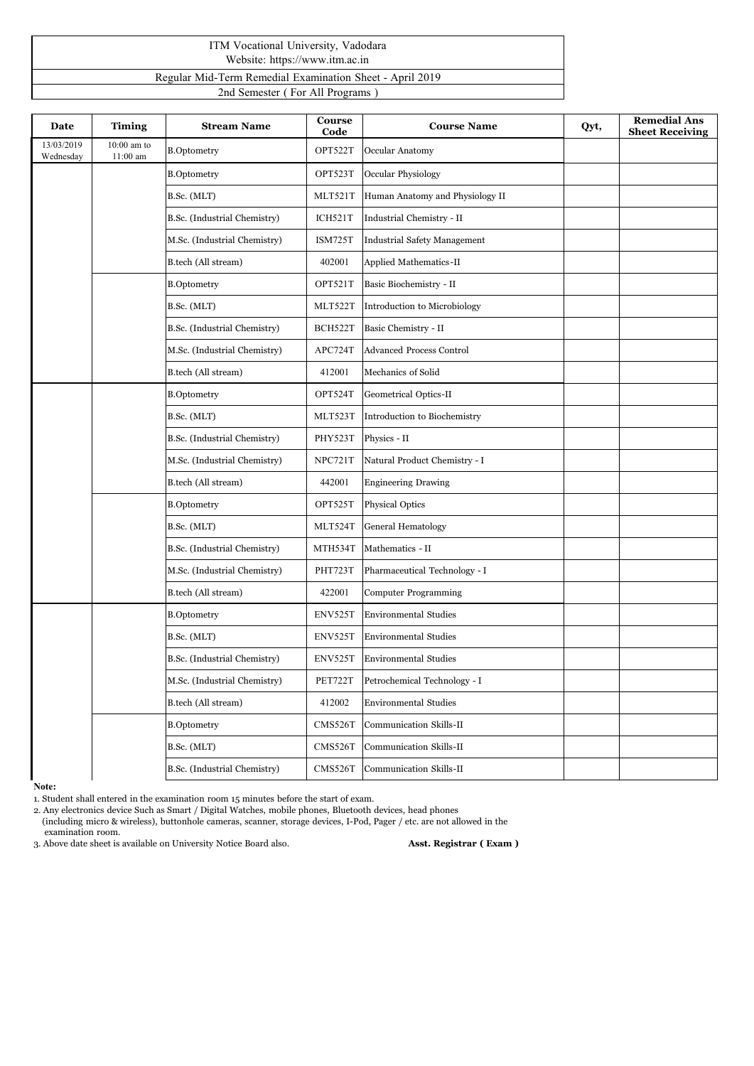## ITM Vocational University, Vadodara Website: https://www.itm.ac.in Regular Mid-Term Remedial Examination Sheet - April2019

2nd Semester ( For All Programs )

| Date                    | <b>Timing</b>               | <b>Stream Name</b>           | Course<br>Code | <b>Course Name</b>              | Qyt, | <b>Remedial Ans</b><br><b>Sheet Receiving</b> |
|-------------------------|-----------------------------|------------------------------|----------------|---------------------------------|------|-----------------------------------------------|
| 13/03/2019<br>Wednesday | $10:00$ am to<br>$11:00$ am | <b>B.Optometry</b>           | OPT522T        | Occular Anatomy                 |      |                                               |
|                         |                             | <b>B.Optometry</b>           | OPT523T        | Occular Physiology              |      |                                               |
|                         |                             | B.Sc. (MLT)                  | MLT521T        | Human Anatomy and Physiology II |      |                                               |
|                         |                             | B.Sc. (Industrial Chemistry) | ICH521T        | Industrial Chemistry - II       |      |                                               |
|                         |                             | M.Sc. (Industrial Chemistry) | <b>ISM725T</b> | Industrial Safety Management    |      |                                               |
|                         |                             | B.tech (All stream)          | 402001         | Applied Mathematics-II          |      |                                               |
|                         |                             | <b>B.Optometry</b>           | OPT521T        | Basic Biochemistry - II         |      |                                               |
|                         |                             | B.Sc. (MLT)                  | MLT522T        | Introduction to Microbiology    |      |                                               |
|                         |                             | B.Sc. (Industrial Chemistry) | BCH522T        | Basic Chemistry - II            |      |                                               |
|                         |                             | M.Sc. (Industrial Chemistry) | APC724T        | <b>Advanced Process Control</b> |      |                                               |
|                         |                             | B.tech (All stream)          | 412001         | Mechanics of Solid              |      |                                               |
|                         |                             | <b>B.Optometry</b>           | OPT524T        | Geometrical Optics-II           |      |                                               |
|                         |                             | B.Sc. (MLT)                  | MLT523T        | Introduction to Biochemistry    |      |                                               |
|                         |                             | B.Sc. (Industrial Chemistry) | PHY523T        | Physics - II                    |      |                                               |
|                         |                             | M.Sc. (Industrial Chemistry) | NPC721T        | Natural Product Chemistry - I   |      |                                               |
|                         |                             | B.tech (All stream)          | 442001         | <b>Engineering Drawing</b>      |      |                                               |
|                         |                             | <b>B.Optometry</b>           | OPT525T        | Physical Optics                 |      |                                               |
|                         |                             | B.Sc. (MLT)                  | MLT524T        | <b>General Hematology</b>       |      |                                               |
|                         |                             | B.Sc. (Industrial Chemistry) | MTH534T        | Mathematics - II                |      |                                               |
|                         |                             | M.Sc. (Industrial Chemistry) | PHT723T        | Pharmaceutical Technology - I   |      |                                               |
|                         |                             | B.tech (All stream)          | 422001         | <b>Computer Programming</b>     |      |                                               |
|                         |                             | <b>B.Optometry</b>           | ENV525T        | <b>Environmental Studies</b>    |      |                                               |
|                         |                             | B.Sc. (MLT)                  | ENV525T        | <b>Environmental Studies</b>    |      |                                               |
|                         |                             | B.Sc. (Industrial Chemistry) | ENV525T        | <b>Environmental Studies</b>    |      |                                               |
|                         |                             | M.Sc. (Industrial Chemistry) | PET722T        | Petrochemical Technology - I    |      |                                               |
|                         |                             | B.tech (All stream)          | 412002         | <b>Environmental Studies</b>    |      |                                               |
|                         |                             | <b>B.Optometry</b>           | CMS526T        | Communication Skills-II         |      |                                               |
|                         |                             | B.Sc. (MLT)                  | CMS526T        | Communication Skills-II         |      |                                               |
|                         |                             | B.Sc. (Industrial Chemistry) | CMS526T        | Communication Skills-II         |      |                                               |

**Note:**

1. Student shall entered in the examination room 15 minutes before the start of exam.

2. Any electronics device Such as Smart / Digital Watches, mobile phones, Bluetooth devices, head phones

(including micro & wireless), buttonhole cameras, scanner, storage devices, I-Pod, Pager / etc. are not allowed in the examination room.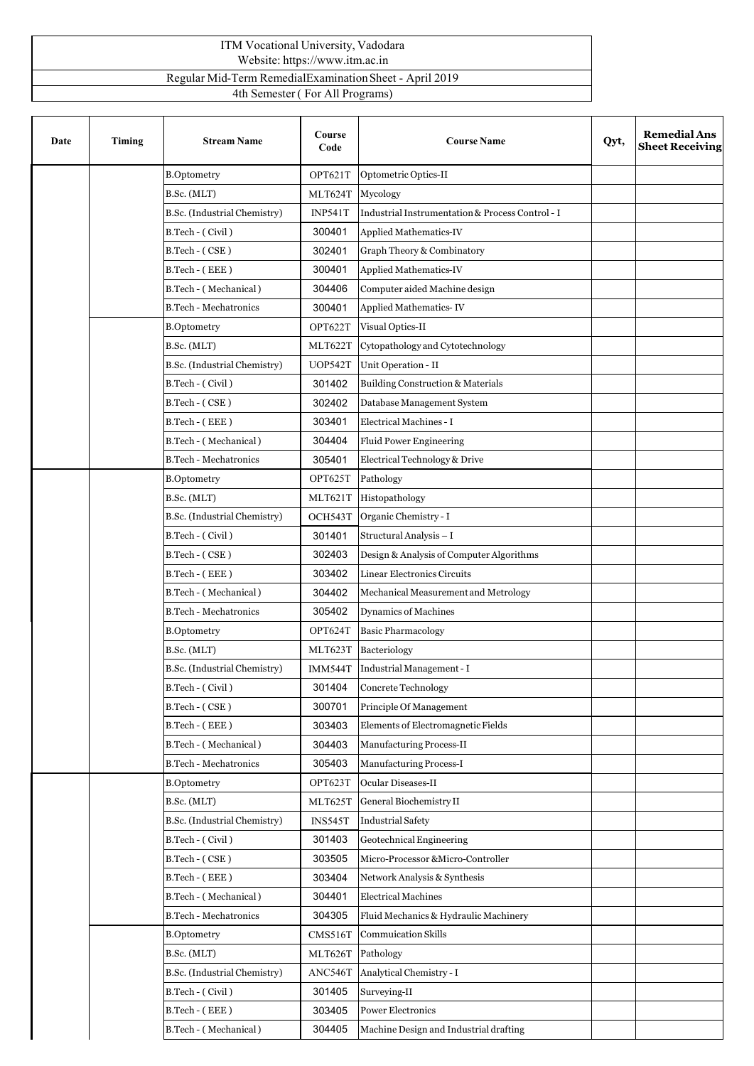## ITM Vocational University, Vadodara Website: https://www.itm.ac.in Regular Mid-Term RemedialExaminationSheet - April 2019 4th Semester ( For All Programs)

| Date | Timing | <b>Stream Name</b>           | Course<br>Code | <b>Course Name</b>                               | Qyt, | <b>Remedial Ans</b><br><b>Sheet Receiving</b> |
|------|--------|------------------------------|----------------|--------------------------------------------------|------|-----------------------------------------------|
|      |        | <b>B.Optometry</b>           | OPT621T        | Optometric Optics-II                             |      |                                               |
|      |        | B.Sc. (MLT)                  | MLT624T        | Mycology                                         |      |                                               |
|      |        | B.Sc. (Industrial Chemistry) | <b>INP541T</b> | Industrial Instrumentation & Process Control - I |      |                                               |
|      |        | B.Tech - (Civil)             | 300401         | Applied Mathematics-IV                           |      |                                               |
|      |        | B.Tech - (CSE)               | 302401         | Graph Theory & Combinatory                       |      |                                               |
|      |        | B.Tech - (EEE)               | 300401         | Applied Mathematics-IV                           |      |                                               |
|      |        | B.Tech - (Mechanical)        | 304406         | Computer aided Machine design                    |      |                                               |
|      |        | <b>B.Tech - Mechatronics</b> | 300401         | Applied Mathematics-IV                           |      |                                               |
|      |        | <b>B.Optometry</b>           | OPT622T        | Visual Optics-II                                 |      |                                               |
|      |        | B.Sc. (MLT)                  | MLT622T        | Cytopathology and Cytotechnology                 |      |                                               |
|      |        | B.Sc. (Industrial Chemistry) | <b>UOP542T</b> | Unit Operation - II                              |      |                                               |
|      |        | B.Tech - (Civil)             | 301402         | <b>Building Construction &amp; Materials</b>     |      |                                               |
|      |        | B.Tech - (CSE)               | 302402         | Database Management System                       |      |                                               |
|      |        | B.Tech - (EEE)               | 303401         | Electrical Machines - I                          |      |                                               |
|      |        | B.Tech - (Mechanical)        | 304404         | Fluid Power Engineering                          |      |                                               |
|      |        | <b>B.Tech - Mechatronics</b> | 305401         | Electrical Technology & Drive                    |      |                                               |
|      |        | <b>B.Optometry</b>           | OPT625T        | Pathology                                        |      |                                               |
|      |        | B.Sc. (MLT)                  | MLT621T        | Histopathology                                   |      |                                               |
|      |        | B.Sc. (Industrial Chemistry) | OCH543T        | Organic Chemistry - I                            |      |                                               |
|      |        | B.Tech - (Civil)             | 301401         | Structural Analysis - I                          |      |                                               |
|      |        | B.Tech - (CSE)               | 302403         | Design & Analysis of Computer Algorithms         |      |                                               |
|      |        | B.Tech - (EEE)               | 303402         | Linear Electronics Circuits                      |      |                                               |
|      |        | B.Tech - (Mechanical)        | 304402         | Mechanical Measurement and Metrology             |      |                                               |
|      |        | <b>B.Tech - Mechatronics</b> | 305402         | <b>Dynamics of Machines</b>                      |      |                                               |
|      |        | <b>B.Optometry</b>           | OPT624T        | <b>Basic Pharmacology</b>                        |      |                                               |
|      |        | B.Sc. (MLT)                  | MLT623T        | Bacteriology                                     |      |                                               |
|      |        | B.Sc. (Industrial Chemistry) | IMM544T        | Industrial Management - I                        |      |                                               |
|      |        | B.Tech - (Civil)             | 301404         | Concrete Technology                              |      |                                               |
|      |        | B.Tech - (CSE)               | 300701         | Principle Of Management                          |      |                                               |
|      |        | B.Tech - (EEE)               | 303403         | Elements of Electromagnetic Fields               |      |                                               |
|      |        | B.Tech - (Mechanical)        | 304403         | Manufacturing Process-II                         |      |                                               |
|      |        | <b>B.Tech - Mechatronics</b> | 305403         | <b>Manufacturing Process-I</b>                   |      |                                               |
|      |        | <b>B.Optometry</b>           | OPT623T        | Ocular Diseases-II                               |      |                                               |
|      |        | B.Sc. (MLT)                  | MLT625T        | General Biochemistry II                          |      |                                               |
|      |        | B.Sc. (Industrial Chemistry) | INS545T        | <b>Industrial Safety</b>                         |      |                                               |
|      |        | B.Tech - (Civil)             | 301403         | Geotechnical Engineering                         |      |                                               |
|      |        | B.Tech - (CSE)               | 303505         | Micro-Processor &Micro-Controller                |      |                                               |
|      |        | B.Tech - (EEE)               | 303404         | Network Analysis & Synthesis                     |      |                                               |
|      |        | B.Tech - (Mechanical)        | 304401         | <b>Electrical Machines</b>                       |      |                                               |
|      |        | <b>B.Tech - Mechatronics</b> | 304305         | Fluid Mechanics & Hydraulic Machinery            |      |                                               |
|      |        | <b>B.Optometry</b>           | CMS516T        | Commuication Skills                              |      |                                               |
|      |        | B.Sc. (MLT)                  | MLT626T        | Pathology                                        |      |                                               |
|      |        | B.Sc. (Industrial Chemistry) | ANC546T        | Analytical Chemistry - I                         |      |                                               |
|      |        | B.Tech - (Civil)             | 301405         | Surveying-II                                     |      |                                               |
|      |        | B.Tech - (EEE)               | 303405         | Power Electronics                                |      |                                               |
|      |        | B.Tech - (Mechanical)        | 304405         | Machine Design and Industrial drafting           |      |                                               |
|      |        |                              |                |                                                  |      |                                               |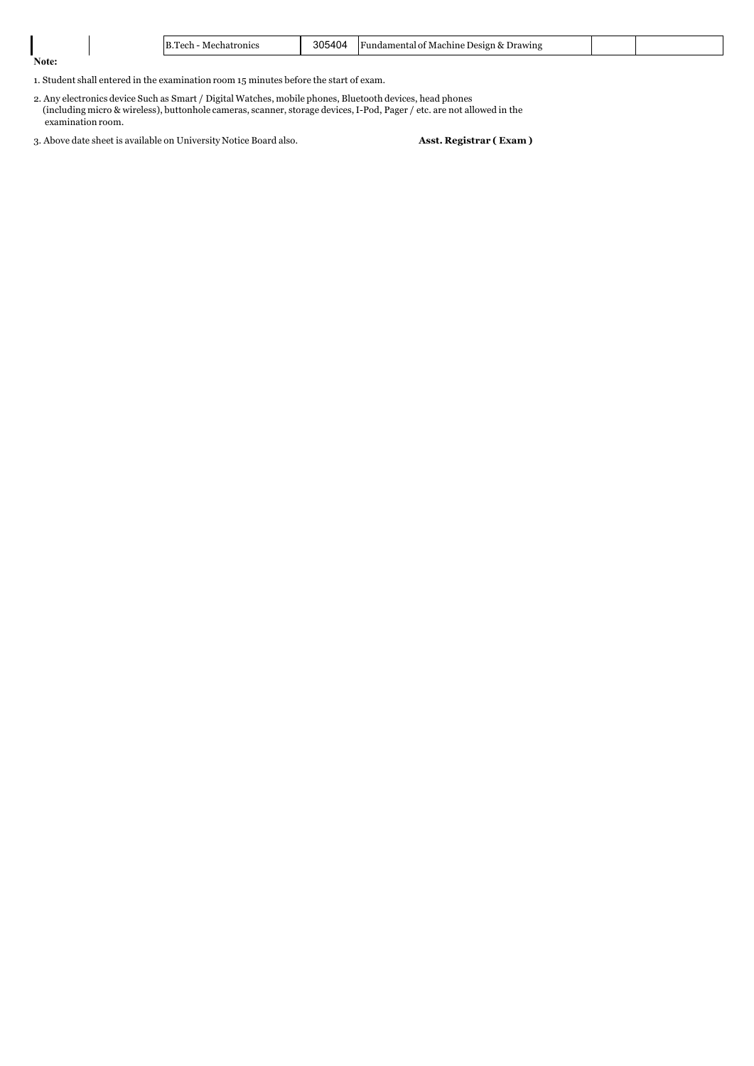|       | B.<br>l'ech<br>chatronics<br>Me.<br>. | 305404 | Drawing<br>-Machine I<br>۱) Acıon<br>. OT<br>Fundamental<br>. |  |
|-------|---------------------------------------|--------|---------------------------------------------------------------|--|
| Note: |                                       |        |                                                               |  |

1. Student shall entered in the examination room 15 minutes before the start of exam.

2. Any electronics device Such as Smart / Digital Watches, mobile phones, Bluetooth devices, head phones (including micro & wireless), buttonhole cameras, scanner, storage devices,I-Pod, Pager / etc. are not allowed in the examination room.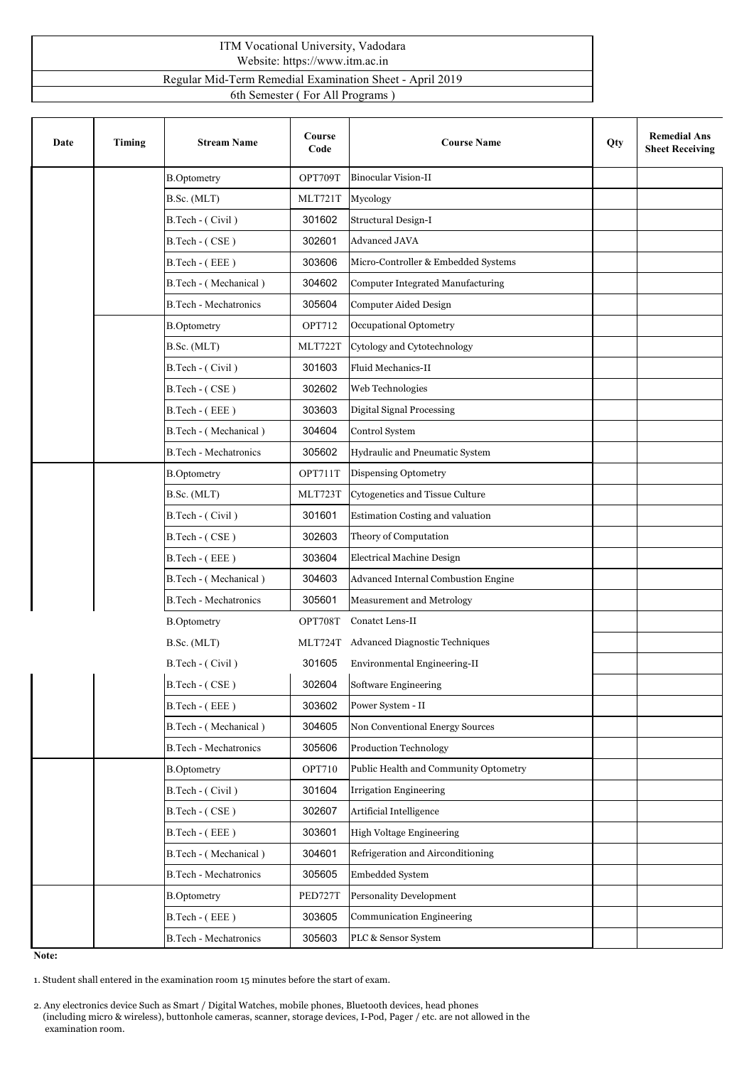## ITM Vocational University, Vadodara Website: https://www.itm.ac.in

Regular Mid-Term Remedial Examination Sheet -April 2019

6th Semester (For All Programs)

| Date | Timing | <b>Stream Name</b>           | Course<br>Code | <b>Course Name</b>                    | Qty | <b>Remedial Ans</b><br><b>Sheet Receiving</b> |
|------|--------|------------------------------|----------------|---------------------------------------|-----|-----------------------------------------------|
|      |        | <b>B.Optometry</b>           | OPT709T        | <b>Binocular Vision-II</b>            |     |                                               |
|      |        | B.Sc. (MLT)                  | MLT721T        | Mycology                              |     |                                               |
|      |        | B.Tech - (Civil)             | 301602         | <b>Structural Design-I</b>            |     |                                               |
|      |        | B.Tech - (CSE)               | 302601         | Advanced JAVA                         |     |                                               |
|      |        | B.Tech - (EEE)               | 303606         | Micro-Controller & Embedded Systems   |     |                                               |
|      |        | B.Tech - (Mechanical)        | 304602         | Computer Integrated Manufacturing     |     |                                               |
|      |        | <b>B.Tech - Mechatronics</b> | 305604         | <b>Computer Aided Design</b>          |     |                                               |
|      |        | <b>B.Optometry</b>           | OPT712         | Occupational Optometry                |     |                                               |
|      |        | B.Sc. (MLT)                  | MLT722T        | Cytology and Cytotechnology           |     |                                               |
|      |        | B.Tech - (Civil)             | 301603         | Fluid Mechanics-II                    |     |                                               |
|      |        | B.Tech - (CSE)               | 302602         | Web Technologies                      |     |                                               |
|      |        | B.Tech - (EEE)               | 303603         | <b>Digital Signal Processing</b>      |     |                                               |
|      |        | B.Tech - (Mechanical)        | 304604         | Control System                        |     |                                               |
|      |        | <b>B.Tech - Mechatronics</b> | 305602         | Hydraulic and Pneumatic System        |     |                                               |
|      |        | <b>B.Optometry</b>           | OPT711T        | Dispensing Optometry                  |     |                                               |
|      |        | B.Sc. (MLT)                  | MLT723T        | Cytogenetics and Tissue Culture       |     |                                               |
|      |        | B.Tech - (Civil)             | 301601         | Estimation Costing and valuation      |     |                                               |
|      |        | B.Tech - (CSE)               | 302603         | Theory of Computation                 |     |                                               |
|      |        | B.Tech - (EEE)               | 303604         | Electrical Machine Design             |     |                                               |
|      |        | B.Tech - (Mechanical)        | 304603         | Advanced Internal Combustion Engine   |     |                                               |
|      |        | <b>B.Tech - Mechatronics</b> | 305601         | Measurement and Metrology             |     |                                               |
|      |        | <b>B.Optometry</b>           | OPT708T        | Conatct Lens-II                       |     |                                               |
|      |        | B.Sc. (MLT)                  | MLT724T        | Advanced Diagnostic Techniques        |     |                                               |
|      |        | B.Tech - (Civil)             | 301605         | Environmental Engineering-II          |     |                                               |
|      |        | B.Tech - (CSE)               | 302604         | Software Engineering                  |     |                                               |
|      |        | B.Tech - (EEE)               | 303602         | Power System - II                     |     |                                               |
|      |        | B.Tech - (Mechanical)        | 304605         | Non Conventional Energy Sources       |     |                                               |
|      |        | <b>B.Tech - Mechatronics</b> | 305606         | Production Technology                 |     |                                               |
|      |        | <b>B.Optometry</b>           | OPT710         | Public Health and Community Optometry |     |                                               |
|      |        | B.Tech - (Civil)             | 301604         | <b>Irrigation Engineering</b>         |     |                                               |
|      |        | B.Tech - (CSE)               | 302607         | Artificial Intelligence               |     |                                               |
|      |        | B.Tech - (EEE)               | 303601         | High Voltage Engineering              |     |                                               |
|      |        | B.Tech - (Mechanical)        | 304601         | Refrigeration and Airconditioning     |     |                                               |
|      |        | <b>B.Tech - Mechatronics</b> | 305605         | Embedded System                       |     |                                               |
|      |        | <b>B.Optometry</b>           | PED727T        | Personality Development               |     |                                               |
|      |        | B.Tech - (EEE)               | 303605         | Communication Engineering             |     |                                               |
|      |        | B.Tech - Mechatronics        | 305603         | PLC & Sensor System                   |     |                                               |

**Note:**

1. Student shall entered in the examination room 15 minutes before the startof exam.

2. Any electronics device Such as Smart / Digital Watches, mobile phones, Bluetooth devices, head phones (including micro & wireless), buttonhole cameras, scanner, storage devices, I-Pod, Pager / etc. are not allowed in the examination room.